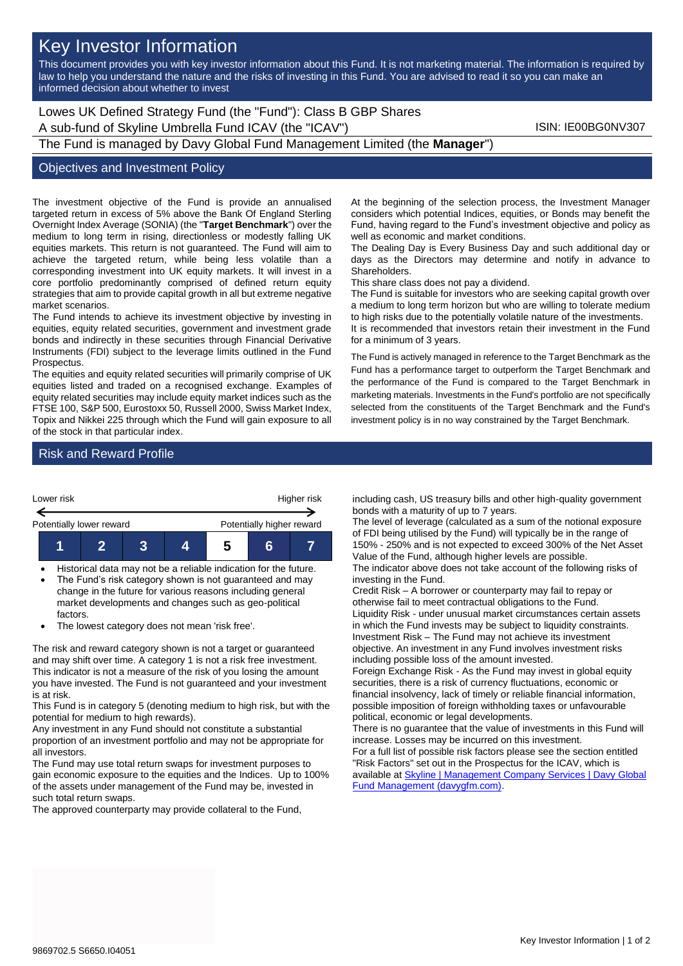# Key Investor Information

This document provides you with key investor information about this Fund. It is not marketing material. The information is required by law to help you understand the nature and the risks of investing in this Fund. You are advised to read it so you can make an informed decision about whether to invest

Lowes UK Defined Strategy Fund (the "Fund"): Class B GBP Shares A sub-fund of Skyline Umbrella Fund ICAV (the "ICAV") ISIN: IE00BG0NV307 The Fund is managed by Davy Global Fund Management Limited (the **Manager**")

#### Objectives and Investment Policy

The investment objective of the Fund is provide an annualised targeted return in excess of 5% above the Bank Of England Sterling Overnight Index Average (SONIA) (the "**Target Benchmark**") over the medium to long term in rising, directionless or modestly falling UK equities markets. This return is not guaranteed. The Fund will aim to achieve the targeted return, while being less volatile than a corresponding investment into UK equity markets. It will invest in a core portfolio predominantly comprised of defined return equity strategies that aim to provide capital growth in all but extreme negative market scenarios.

The Fund intends to achieve its investment objective by investing in equities, equity related securities, government and investment grade bonds and indirectly in these securities through Financial Derivative Instruments (FDI) subject to the leverage limits outlined in the Fund Prospectus.

The equities and equity related securities will primarily comprise of UK equities listed and traded on a recognised exchange. Examples of equity related securities may include equity market indices such as the FTSE 100, S&P 500, Eurostoxx 50, Russell 2000, Swiss Market Index, Topix and Nikkei 225 through which the Fund will gain exposure to all of the stock in that particular index.

At the beginning of the selection process, the Investment Manager considers which potential Indices, equities, or Bonds may benefit the Fund, having regard to the Fund's investment objective and policy as well as economic and market conditions.

The Dealing Day is Every Business Day and such additional day or days as the Directors may determine and notify in advance to Shareholders.

This share class does not pay a dividend.

The Fund is suitable for investors who are seeking capital growth over a medium to long term horizon but who are willing to tolerate medium to high risks due to the potentially volatile nature of the investments. It is recommended that investors retain their investment in the Fund for a minimum of 3 years.

The Fund is actively managed in reference to the Target Benchmark as the Fund has a performance target to outperform the Target Benchmark and the performance of the Fund is compared to the Target Benchmark in marketing materials. Investments in the Fund's portfolio are not specifically selected from the constituents of the Target Benchmark and the Fund's investment policy is in no way constrained by the Target Benchmark.

## Risk and Reward Profile



• Historical data may not be a reliable indication for the future. The Fund's risk category shown is not guaranteed and may

change in the future for various reasons including general market developments and changes such as geo-political factors.

• The lowest category does not mean 'risk free'.

The risk and reward category shown is not a target or guaranteed and may shift over time. A category 1 is not a risk free investment. This indicator is not a measure of the risk of you losing the amount you have invested. The Fund is not guaranteed and your investment is at risk.

This Fund is in category 5 (denoting medium to high risk, but with the potential for medium to high rewards).

Any investment in any Fund should not constitute a substantial proportion of an investment portfolio and may not be appropriate for all investors.

The Fund may use total return swaps for investment purposes to gain economic exposure to the equities and the Indices. Up to 100% of the assets under management of the Fund may be, invested in such total return swaps.

The approved counterparty may provide collateral to the Fund,

including cash, US treasury bills and other high-quality government bonds with a maturity of up to 7 years.

The level of leverage (calculated as a sum of the notional exposure of FDI being utilised by the Fund) will typically be in the range of 150% - 250% and is not expected to exceed 300% of the Net Asset Value of the Fund, although higher levels are possible.

The indicator above does not take account of the following risks of investing in the Fund.

Credit Risk – A borrower or counterparty may fail to repay or otherwise fail to meet contractual obligations to the Fund. Liquidity Risk - under unusual market circumstances certain assets in which the Fund invests may be subject to liquidity constraints. Investment Risk – The Fund may not achieve its investment objective. An investment in any Fund involves investment risks including possible loss of the amount invested.

Foreign Exchange Risk - As the Fund may invest in global equity securities, there is a risk of currency fluctuations, economic or financial insolvency, lack of timely or reliable financial information, possible imposition of foreign withholding taxes or unfavourable political, economic or legal developments.

There is no guarantee that the value of investments in this Fund will increase. Losses may be incurred on this investment.

For a full list of possible risk factors please see the section entitled "Risk Factors" set out in the Prospectus for the ICAV, which is available at Skyline | Management Company Services | Davy Global [Fund Management \(davygfm.com\).](https://www.davygfm.com/funds-factsheets/management-company-services/ireland/skyline.html)